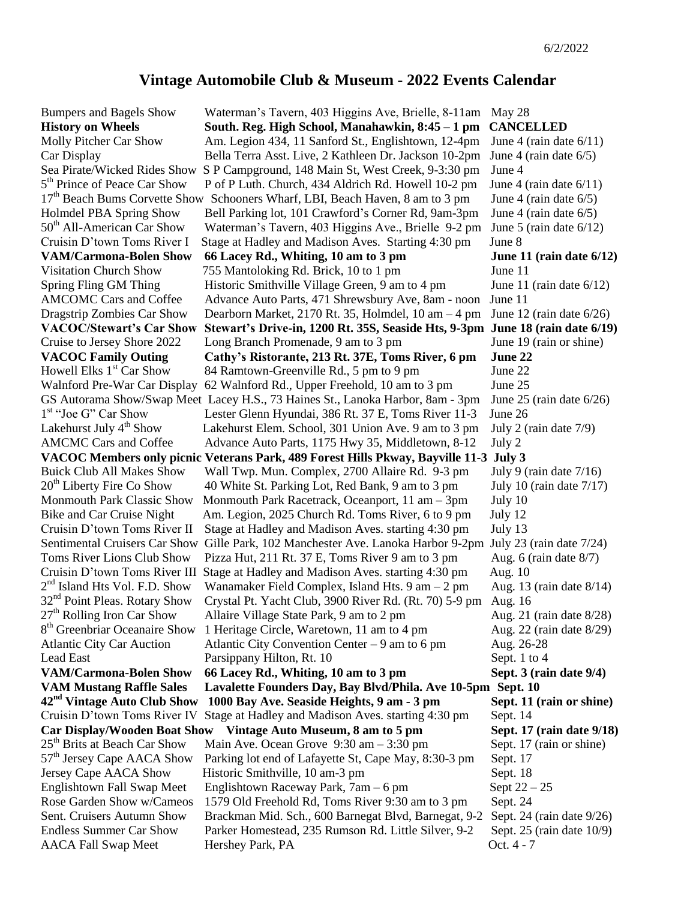## **Vintage Automobile Club & Museum - 2022 Events Calendar**

5<sup>th</sup> Prince of Peace Car Show  $1<sup>st</sup>$  "Joe G" Car Show  $2<sup>nd</sup>$  Island Hts Vol. F.D. Show 27<sup>th</sup> Rolling Iron Car Show 8<sup>th</sup> Greenbriar Oceanaire Show 42<sup>nd</sup> Vintage Auto Club Show 25<sup>th</sup> Brits at Beach Car Show

Bumpers and Bagels Show Waterman's Tavern, 403 Higgins Ave, Brielle, 8-11am May 28 **History on Wheels South. Reg. High School, Manahawkin, 8:45 – 1 pm CANCELLED** Molly Pitcher Car Show Am. Legion 434, 11 Sanford St., Englishtown, 12-4pm June 4 (rain date 6/11) Car Display Bella Terra Asst. Live, 2 Kathleen Dr. Jackson 10-2pm June 4 (rain date 6/5) Sea Pirate/Wicked Rides Show S P Campground, 148 Main St, West Creek, 9-3:30 pm June 4 P of P Luth. Church, 434 Aldrich Rd. Howell 10-2 pm June 4 (rain date 6/11) 17<sup>th</sup> Beach Bums Corvette Show Schooners Wharf, LBI, Beach Haven, 8 am to 3 pm June 4 (rain date 6/5) Holmdel PBA Spring Show Bell Parking lot, 101 Crawford's Corner Rd, 9am-3pm June 4 (rain date 6/5)  $50<sup>th</sup>$  All-American Car Show Waterman's Tavern, 403 Higgins Ave., Brielle 9-2 pm June 5 (rain date 6/12) Cruisin D'town Toms River I Stage at Hadley and Madison Aves. Starting 4:30 pm June 8 **VAM/Carmona-Bolen Show 66 Lacey Rd., Whiting, 10 am to 3 pm June 11 (rain date 6/12)** Visitation Church Show 755 Mantoloking Rd. Brick, 10 to 1 pm June 11 Spring Fling GM Thing Historic Smithville Village Green, 9 am to 4 pm June 11 (rain date 6/12) AMCOMC Cars and Coffee Advance Auto Parts, 471 Shrewsbury Ave, 8am - noon June 11 Dragstrip Zombies Car Show Dearborn Market, 2170 Rt. 35, Holmdel, 10 am – 4 pm June 12 (rain date 6/26) **VACOC/Stewart's Car Show Stewart's Drive-in, 1200 Rt. 35S, Seaside Hts, 9-3pm June 18 (rain date 6/19)**  Cruise to Jersey Shore 2022 Long Branch Promenade, 9 am to 3 pm June 19 (rain or shine) **VACOC Family Outing Cathy's Ristorante, 213 Rt. 37E, Toms River, 6 pm June 22** Howell Elks  $1<sup>st</sup>$  Car Show 84 Ramtown-Greenville Rd., 5 pm to 9 pm June 22 Walnford Pre-War Car Display 62 Walnford Rd., Upper Freehold, 10 am to 3 pm June 25 GS Autorama Show/Swap Meet Lacey H.S., 73 Haines St., Lanoka Harbor, 8am - 3pm June 25 (rain date 6/26) Lester Glenn Hyundai, 386 Rt. 37 E, Toms River 11-3 June 26 Lakehurst July  $4<sup>th</sup>$  Show Lakehurst Elem. School, 301 Union Ave. 9 am to 3 pm July 2 (rain date 7/9) AMCMC Cars and Coffee Advance Auto Parts, 1175 Hwy 35, Middletown, 8-12 July 2 **VACOC Members only picnic Veterans Park, 489 Forest Hills Pkway, Bayville 11-3 July 3** Buick Club All Makes Show Wall Twp. Mun. Complex, 2700 Allaire Rd. 9-3 pm July 9 (rain date 7/16)  $20<sup>th</sup>$  Liberty Fire Co Show 40 White St. Parking Lot, Red Bank, 9 am to 3 pm July 10 (rain date 7/17) Monmouth Park Classic Show Monmouth Park Racetrack, Oceanport,  $11 \text{ am} - 3 \text{pm}$  July 10 Bike and Car Cruise Night Am. Legion, 2025 Church Rd. Toms River, 6 to 9 pm July 12 Cruisin D'town Toms River II Stage at Hadley and Madison Aves. starting 4:30 pm July 13 Sentimental Cruisers Car Show Gille Park, 102 Manchester Ave. Lanoka Harbor 9-2pm July 23 (rain date 7/24) Toms River Lions Club Show Pizza Hut, 211 Rt. 37 E, Toms River 9 am to 3 pm Aug. 6 (rain date 8/7) Cruisin D'town Toms River III Stage at Hadley and Madison Aves. starting 4:30 pm Aug. 10 Wanamaker Field Complex, Island Hts.  $9 \text{ am} - 2 \text{ pm}$  Aug. 13 (rain date  $8/14$ ) 32nd Point Pleas. Rotary Show Crystal Pt. Yacht Club, 3900 River Rd. (Rt. 70) 5-9 pm Aug. 16 Allaire Village State Park, 9 am to 2 pm Aug. 21 (rain date 8/28) 1 Heritage Circle, Waretown, 11 am to 4 pm Aug. 22 (rain date 8/29) Atlantic City Car Auction Atlantic City Convention Center – 9 am to 6 pm Aug. 26-28 Lead East **Parsippany Hilton, Rt. 10** Sept. 1 to 4 **VAM/Carmona-Bolen Show** 66 Lacey Rd., Whiting, 10 am to 3 pm Sept. 3 (rain date 9/4) **VAM Mustang Raffle Sales Lavalette Founders Day, Bay Blvd/Phila. Ave 10-5pm Sept. 10 nd Vintage Auto Club Show 1000 Bay Ave. Seaside Heights, 9 am - 3 pm Sept. 11 (rain or shine)** Cruisin D'town Toms River IV Stage at Hadley and Madison Aves. starting 4:30 pm Sept. 14 Car Display/Wooden Boat Show Vintage Auto Museum, 8 am to 5 pm Sept. 17 (rain date 9/18) Main Ave. Ocean Grove  $9:30 \text{ am} - 3:30 \text{ pm}$  Sept. 17 (rain or shine) 57<sup>th</sup> Jersey Cape AACA Show Parking lot end of Lafayette St, Cape May, 8:30-3 pm Sept. 17 Jersey Cape AACA Show Historic Smithville, 10 am-3 pm Sept. 18 Englishtown Fall Swap Meet Englishtown Raceway Park,  $7 \text{am} - 6 \text{pm}$  Sept  $22 - 25$ Rose Garden Show w/Cameos 1579 Old Freehold Rd, Toms River 9:30 am to 3 pm Sept. 24 Sent. Cruisers Autumn Show Brackman Mid. Sch., 600 Barnegat Blvd, Barnegat, 9-2 Sept. 24 (rain date 9/26) Endless Summer Car Show Parker Homestead, 235 Rumson Rd. Little Silver, 9-2 Sept. 25 (rain date 10/9) AACA Fall Swap Meet Hershey Park, PA CHER COCT 4 - 7